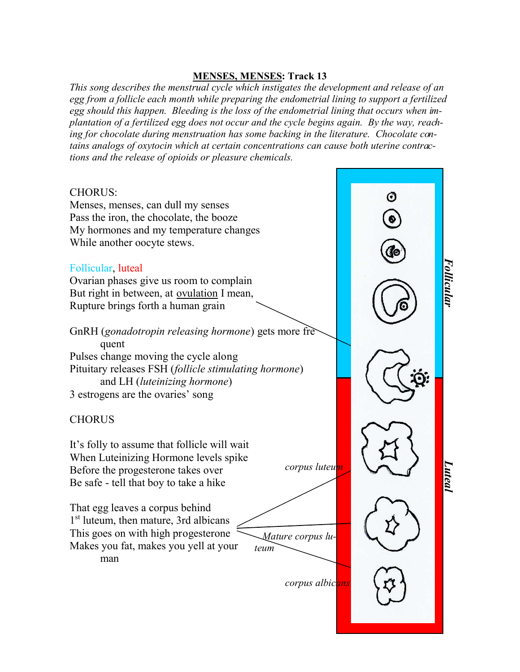## **MENSES, MENSES: Track 13**

*This song describes the menstrual cycle which instigates the development and release of an egg from a follicle each month while preparing the endometrial lining to support a fertilized egg should this happen. Bleeding is the loss of the endometrial lining that occurs when implantation of a fertilized egg does not occur and the cycle begins again. By the way, reaching for chocolate during menstruation has some backing in the literature. Chocolate contains analogs of oxytocin which at certain concentrations can cause both uterine contractions and the release of opioids or pleasure chemicals.*